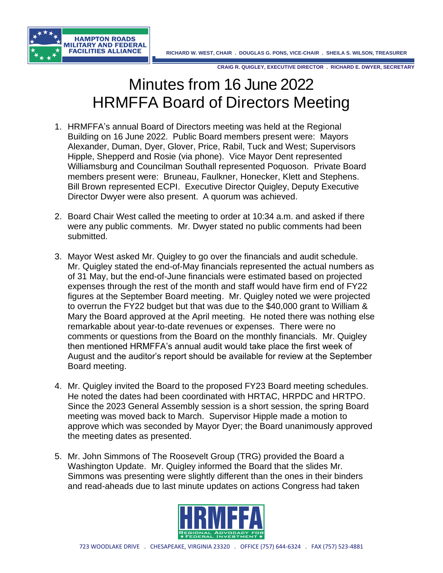



## Minutes from 16 June 2022 HRMFFA Board of Directors Meeting

- 1. HRMFFA's annual Board of Directors meeting was held at the Regional Building on 16 June 2022. Public Board members present were: Mayors Alexander, Duman, Dyer, Glover, Price, Rabil, Tuck and West; Supervisors Hipple, Shepperd and Rosie (via phone). Vice Mayor Dent represented Williamsburg and Councilman Southall represented Poquoson. Private Board members present were: Bruneau, Faulkner, Honecker, Klett and Stephens. Bill Brown represented ECPI. Executive Director Quigley, Deputy Executive Director Dwyer were also present. A quorum was achieved.
- 2. Board Chair West called the meeting to order at 10:34 a.m. and asked if there were any public comments. Mr. Dwyer stated no public comments had been submitted.
- 3. Mayor West asked Mr. Quigley to go over the financials and audit schedule. Mr. Quigley stated the end-of-May financials represented the actual numbers as of 31 May, but the end-of-June financials were estimated based on projected expenses through the rest of the month and staff would have firm end of FY22 figures at the September Board meeting. Mr. Quigley noted we were projected to overrun the FY22 budget but that was due to the \$40,000 grant to William & Mary the Board approved at the April meeting. He noted there was nothing else remarkable about year-to-date revenues or expenses. There were no comments or questions from the Board on the monthly financials. Mr. Quigley then mentioned HRMFFA's annual audit would take place the first week of August and the auditor's report should be available for review at the September Board meeting.
- 4. Mr. Quigley invited the Board to the proposed FY23 Board meeting schedules. He noted the dates had been coordinated with HRTAC, HRPDC and HRTPO. Since the 2023 General Assembly session is a short session, the spring Board meeting was moved back to March. Supervisor Hipple made a motion to approve which was seconded by Mayor Dyer; the Board unanimously approved the meeting dates as presented.
- 5. Mr. John Simmons of The Roosevelt Group (TRG) provided the Board a Washington Update. Mr. Quigley informed the Board that the slides Mr. Simmons was presenting were slightly different than the ones in their binders and read-aheads due to last minute updates on actions Congress had taken

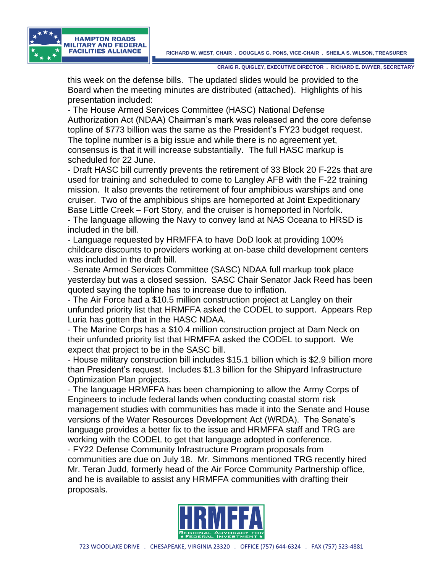

this week on the defense bills. The updated slides would be provided to the Board when the meeting minutes are distributed (attached). Highlights of his presentation included:

- The House Armed Services Committee (HASC) National Defense Authorization Act (NDAA) Chairman's mark was released and the core defense topline of \$773 billion was the same as the President's FY23 budget request. The topline number is a big issue and while there is no agreement yet, consensus is that it will increase substantially. The full HASC markup is scheduled for 22 June.

- Draft HASC bill currently prevents the retirement of 33 Block 20 F-22s that are used for training and scheduled to come to Langley AFB with the F-22 training mission. It also prevents the retirement of four amphibious warships and one cruiser. Two of the amphibious ships are homeported at Joint Expeditionary Base Little Creek – Fort Story, and the cruiser is homeported in Norfolk.

- The language allowing the Navy to convey land at NAS Oceana to HRSD is included in the bill.

- Language requested by HRMFFA to have DoD look at providing 100% childcare discounts to providers working at on-base child development centers was included in the draft bill.

- Senate Armed Services Committee (SASC) NDAA full markup took place yesterday but was a closed session. SASC Chair Senator Jack Reed has been quoted saying the topline has to increase due to inflation.

- The Air Force had a \$10.5 million construction project at Langley on their unfunded priority list that HRMFFA asked the CODEL to support. Appears Rep Luria has gotten that in the HASC NDAA.

- The Marine Corps has a \$10.4 million construction project at Dam Neck on their unfunded priority list that HRMFFA asked the CODEL to support. We expect that project to be in the SASC bill.

- House military construction bill includes \$15.1 billion which is \$2.9 billion more than President's request. Includes \$1.3 billion for the Shipyard Infrastructure Optimization Plan projects.

- The language HRMFFA has been championing to allow the Army Corps of Engineers to include federal lands when conducting coastal storm risk management studies with communities has made it into the Senate and House versions of the Water Resources Development Act (WRDA). The Senate's language provides a better fix to the issue and HRMFFA staff and TRG are working with the CODEL to get that language adopted in conference. - FY22 Defense Community Infrastructure Program proposals from communities are due on July 18. Mr. Simmons mentioned TRG recently hired Mr. Teran Judd, formerly head of the Air Force Community Partnership office, and he is available to assist any HRMFFA communities with drafting their proposals.

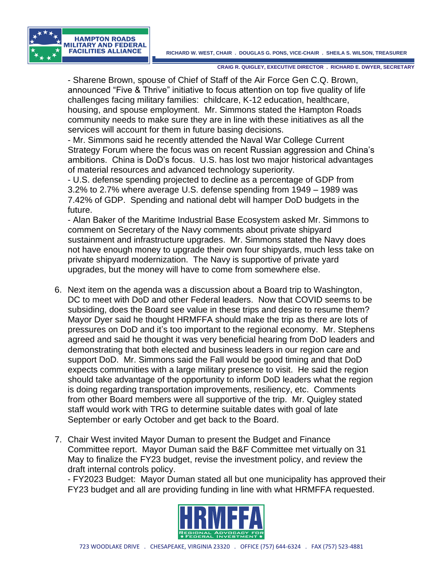

- Sharene Brown, spouse of Chief of Staff of the Air Force Gen C.Q. Brown, announced "Five & Thrive" initiative to focus attention on top five quality of life challenges facing military families: childcare, K-12 education, healthcare, housing, and spouse employment. Mr. Simmons stated the Hampton Roads community needs to make sure they are in line with these initiatives as all the services will account for them in future basing decisions.

- Mr. Simmons said he recently attended the Naval War College Current Strategy Forum where the focus was on recent Russian aggression and China's ambitions. China is DoD's focus. U.S. has lost two major historical advantages of material resources and advanced technology superiority.

- U.S. defense spending projected to decline as a percentage of GDP from 3.2% to 2.7% where average U.S. defense spending from 1949 – 1989 was 7.42% of GDP. Spending and national debt will hamper DoD budgets in the future.

- Alan Baker of the Maritime Industrial Base Ecosystem asked Mr. Simmons to comment on Secretary of the Navy comments about private shipyard sustainment and infrastructure upgrades. Mr. Simmons stated the Navy does not have enough money to upgrade their own four shipyards, much less take on private shipyard modernization. The Navy is supportive of private yard upgrades, but the money will have to come from somewhere else.

- 6. Next item on the agenda was a discussion about a Board trip to Washington, DC to meet with DoD and other Federal leaders. Now that COVID seems to be subsiding, does the Board see value in these trips and desire to resume them? Mayor Dyer said he thought HRMFFA should make the trip as there are lots of pressures on DoD and it's too important to the regional economy. Mr. Stephens agreed and said he thought it was very beneficial hearing from DoD leaders and demonstrating that both elected and business leaders in our region care and support DoD. Mr. Simmons said the Fall would be good timing and that DoD expects communities with a large military presence to visit. He said the region should take advantage of the opportunity to inform DoD leaders what the region is doing regarding transportation improvements, resiliency, etc. Comments from other Board members were all supportive of the trip. Mr. Quigley stated staff would work with TRG to determine suitable dates with goal of late September or early October and get back to the Board.
- 7. Chair West invited Mayor Duman to present the Budget and Finance Committee report. Mayor Duman said the B&F Committee met virtually on 31 May to finalize the FY23 budget, revise the investment policy, and review the draft internal controls policy.

- FY2023 Budget: Mayor Duman stated all but one municipality has approved their FY23 budget and all are providing funding in line with what HRMFFA requested.

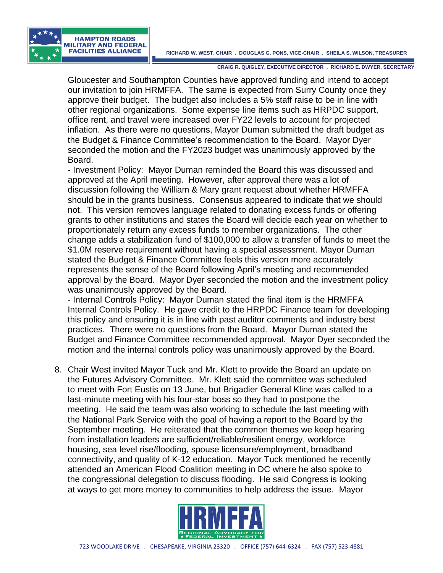## **RICHARD W. WEST, CHAIR . DOUGLAS G. PONS, VICE-CHAIR . SHEILA S. WILSON, TREASURER**



**CRAIG R. QUIGLEY, EXECUTIVE DIRECTOR . RICHARD E. DWYER, SECRETARY**

Gloucester and Southampton Counties have approved funding and intend to accept our invitation to join HRMFFA. The same is expected from Surry County once they approve their budget. The budget also includes a 5% staff raise to be in line with other regional organizations. Some expense line items such as HRPDC support, office rent, and travel were increased over FY22 levels to account for projected inflation. As there were no questions, Mayor Duman submitted the draft budget as the Budget & Finance Committee's recommendation to the Board. Mayor Dyer seconded the motion and the FY2023 budget was unanimously approved by the Board.

- Investment Policy: Mayor Duman reminded the Board this was discussed and approved at the April meeting. However, after approval there was a lot of discussion following the William & Mary grant request about whether HRMFFA should be in the grants business. Consensus appeared to indicate that we should not. This version removes language related to donating excess funds or offering grants to other institutions and states the Board will decide each year on whether to proportionately return any excess funds to member organizations. The other change adds a stabilization fund of \$100,000 to allow a transfer of funds to meet the \$1.0M reserve requirement without having a special assessment. Mayor Duman stated the Budget & Finance Committee feels this version more accurately represents the sense of the Board following April's meeting and recommended approval by the Board. Mayor Dyer seconded the motion and the investment policy was unanimously approved by the Board.

- Internal Controls Policy: Mayor Duman stated the final item is the HRMFFA Internal Controls Policy. He gave credit to the HRPDC Finance team for developing this policy and ensuring it is in line with past auditor comments and industry best practices. There were no questions from the Board. Mayor Duman stated the Budget and Finance Committee recommended approval. Mayor Dyer seconded the motion and the internal controls policy was unanimously approved by the Board.

8. Chair West invited Mayor Tuck and Mr. Klett to provide the Board an update on the Futures Advisory Committee. Mr. Klett said the committee was scheduled to meet with Fort Eustis on 13 June, but Brigadier General Kline was called to a last-minute meeting with his four-star boss so they had to postpone the meeting. He said the team was also working to schedule the last meeting with the National Park Service with the goal of having a report to the Board by the September meeting. He reiterated that the common themes we keep hearing from installation leaders are sufficient/reliable/resilient energy, workforce housing, sea level rise/flooding, spouse licensure/employment, broadband connectivity, and quality of K-12 education. Mayor Tuck mentioned he recently attended an American Flood Coalition meeting in DC where he also spoke to the congressional delegation to discuss flooding. He said Congress is looking at ways to get more money to communities to help address the issue. Mayor

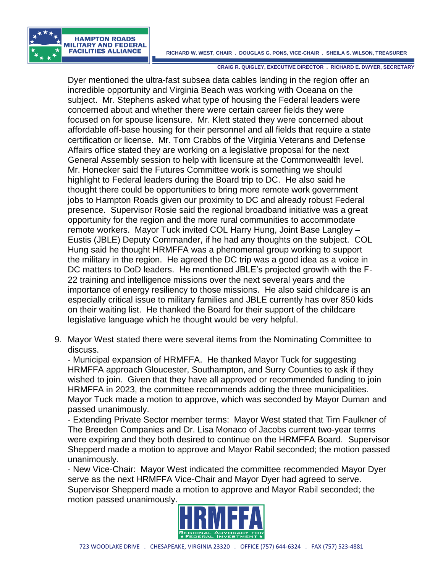## **RICHARD W. WEST, CHAIR . DOUGLAS G. PONS, VICE-CHAIR . SHEILA S. WILSON, TREASURER**



**CRAIG R. QUIGLEY, EXECUTIVE DIRECTOR . RICHARD E. DWYER, SECRETARY**

Dyer mentioned the ultra-fast subsea data cables landing in the region offer an incredible opportunity and Virginia Beach was working with Oceana on the subject. Mr. Stephens asked what type of housing the Federal leaders were concerned about and whether there were certain career fields they were focused on for spouse licensure. Mr. Klett stated they were concerned about affordable off-base housing for their personnel and all fields that require a state certification or license. Mr. Tom Crabbs of the Virginia Veterans and Defense Affairs office stated they are working on a legislative proposal for the next General Assembly session to help with licensure at the Commonwealth level. Mr. Honecker said the Futures Committee work is something we should highlight to Federal leaders during the Board trip to DC. He also said he thought there could be opportunities to bring more remote work government jobs to Hampton Roads given our proximity to DC and already robust Federal presence. Supervisor Rosie said the regional broadband initiative was a great opportunity for the region and the more rural communities to accommodate remote workers. Mayor Tuck invited COL Harry Hung, Joint Base Langley – Eustis (JBLE) Deputy Commander, if he had any thoughts on the subject. COL Hung said he thought HRMFFA was a phenomenal group working to support the military in the region. He agreed the DC trip was a good idea as a voice in DC matters to DoD leaders. He mentioned JBLE's projected growth with the F-22 training and intelligence missions over the next several years and the importance of energy resiliency to those missions. He also said childcare is an especially critical issue to military families and JBLE currently has over 850 kids on their waiting list. He thanked the Board for their support of the childcare legislative language which he thought would be very helpful.

9. Mayor West stated there were several items from the Nominating Committee to discuss.

- Municipal expansion of HRMFFA. He thanked Mayor Tuck for suggesting HRMFFA approach Gloucester, Southampton, and Surry Counties to ask if they wished to join. Given that they have all approved or recommended funding to join HRMFFA in 2023, the committee recommends adding the three municipalities. Mayor Tuck made a motion to approve, which was seconded by Mayor Duman and passed unanimously.

- Extending Private Sector member terms: Mayor West stated that Tim Faulkner of The Breeden Companies and Dr. Lisa Monaco of Jacobs current two-year terms were expiring and they both desired to continue on the HRMFFA Board. Supervisor Shepperd made a motion to approve and Mayor Rabil seconded; the motion passed unanimously.

- New Vice-Chair: Mayor West indicated the committee recommended Mayor Dyer serve as the next HRMFFA Vice-Chair and Mayor Dyer had agreed to serve. Supervisor Shepperd made a motion to approve and Mayor Rabil seconded; the motion passed unanimously.